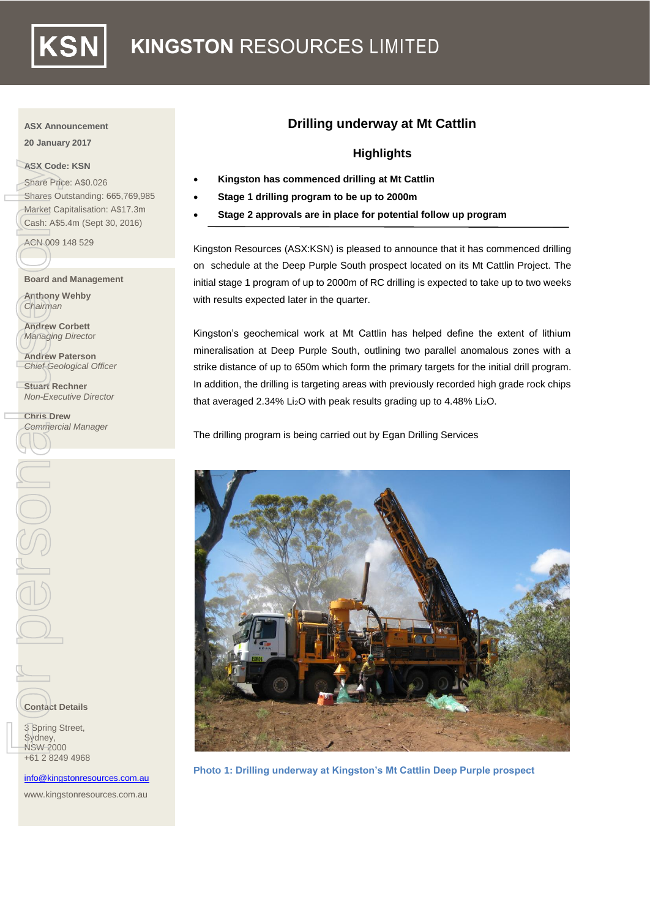

### **ASX Announcement**

**20 January 2017**

### **ASX Code: KSN**

Share Price: A\$0.026 Shares Outstanding: 665,769,985 Market Capitalisation: A\$17.3m Cash: A\$5.4m (Sept 30, 2016) ASX Code: KS<br>
Share Price: A<br>
Share Custa<br>
Market Capital<br>
Cash: A\$5.4m<br>
ACN 009 148<br>
Board and Ma<br>
ACN 009 148<br>
Board and Ma<br>
Anthony Weh<br>
Chairman<br>
Andrew Corb<br>
Managing Dire<br>
Andrew Pater<br>
Chris Drew<br>
Conflact Rechne<br>
C

ACN 009 148 529

**Board and Management**

**Anthony Wehby** *Chairman*

**Andrew Corbett** *Managing Directo*r

**Andrew Paterson** *Chief Geological Officer*

**Stuart Rechner** *Non-Executive Director*

**Chris Drew** *Commercial Manager*

**Contact Details**

**3** Spring Street, Sydney, NSW 2000 +61 2 8249 4968

[info@kingstonresources.com.au](mailto:info@kingstonresources.com.au)

www.kingstonresources.com.au

# **Drilling underway at Mt Cattlin**

## **Highlights**

- **Kingston has commenced drilling at Mt Cattlin**
- **Stage 1 drilling program to be up to 2000m**
- **Stage 2 approvals are in place for potential follow up program**

Kingston Resources (ASX:KSN) is pleased to announce that it has commenced drilling on schedule at the Deep Purple South prospect located on its Mt Cattlin Project. The initial stage 1 program of up to 2000m of RC drilling is expected to take up to two weeks with results expected later in the quarter.

Kingston's geochemical work at Mt Cattlin has helped define the extent of lithium mineralisation at Deep Purple South, outlining two parallel anomalous zones with a strike distance of up to 650m which form the primary targets for the initial drill program. In addition, the drilling is targeting areas with previously recorded high grade rock chips that averaged 2.34% Li<sub>2</sub>O with peak results grading up to 4.48% Li<sub>2</sub>O.

The drilling program is being carried out by Egan Drilling Services



**Photo 1: Drilling underway at Kingston's Mt Cattlin Deep Purple prospect**